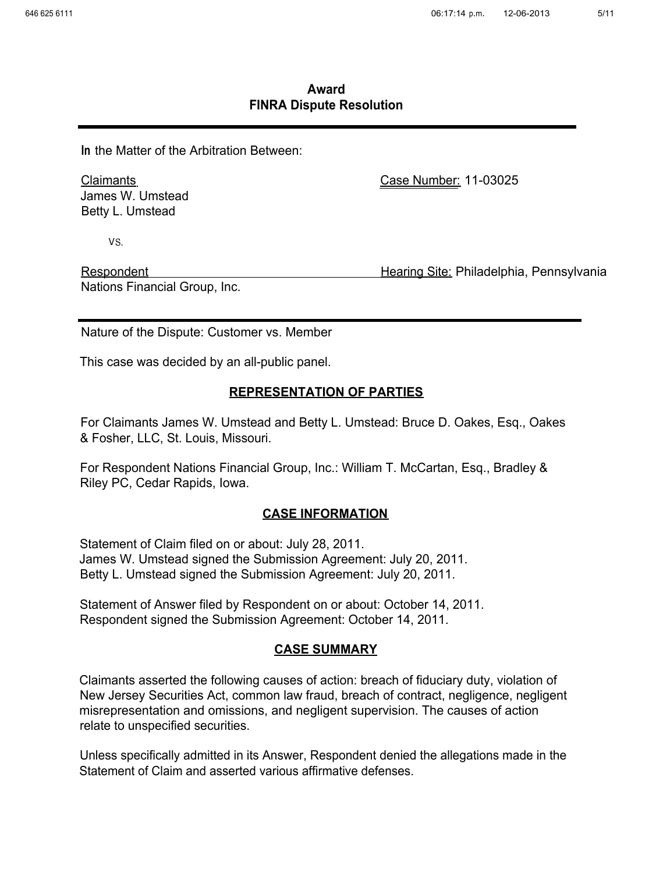## **Award FINRA Dispute Resolution**

**In** the Matter of the Arbitration Between:

Claimants James W. Umstead Betty L. Umstead

Case Number:11-03025

VS.

Respondent **Respondent** Hearing Site: Philadelphia, Pennsylvania Nations Financial Group, Inc.

Nature of the Dispute: Customer vs. Member

This case was decided by an all-public panel.

#### **REPRESENTATION OF PARTIES**

For Claimants James W. Umstead and Betty L. Umstead: Bruce D. Oakes, Esq., Oakes & Fosher, LLC, St. Louis, Missouri.

For Respondent Nations Financial Group, Inc.: William T. McCartan, Esq., Bradley & Riley PC, Cedar Rapids, Iowa.

## **CASE INFORMATION**

Statement of Claim filed on or about: July 28, 2011. James W. Umstead signed the Submission Agreement: July 20, 2011. Betty L. Umstead signed the Submission Agreement: July 20, 2011.

Statement of Answer filed by Respondent on or about: October 14, 2011. Respondent signed the Submission Agreement: October 14, 2011.

## **CASE SUMMARY**

Claimants asserted the following causes of action: breach of fiduciary duty, violation of New Jersey Securities Act, common law fraud, breach of contract, negligence, negligent misrepresentation and omissions, and negligent supervision. The causes of action relate to unspecified securities.

Unless specifically admitted in its Answer, Respondent denied the allegations made in the Statement of Claim and asserted various affirmative defenses.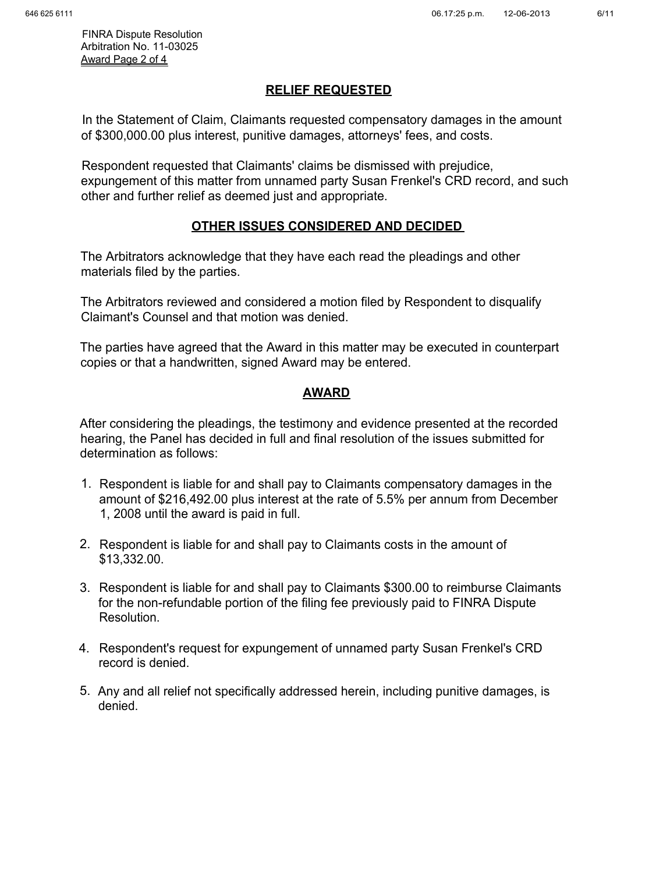FINRA Dispute Resolution Arbitration No. 11-03025 Award Page 2 of 4

## **RELIEF REQUESTED**

In the Statement of Claim, Claimants requested compensatory damages in the amount of \$300,000.00 plus interest, punitive damages, attorneys' fees, and costs.

Respondent requested that Claimants' claims be dismissed with prejudice, expungement of this matter from unnamed party Susan Frenkel's CRD record, and such other and further relief as deemed just and appropriate.

# **OTHER ISSUES CONSIDERED AND DECIDED**

The Arbitrators acknowledge that they have each read the pleadings and other materials filed by the parties.

The Arbitrators reviewed and considered a motion filed by Respondent to disqualify Claimant's Counsel and that motion was denied.

The parties have agreed that the Award in this matter may be executed in counterpart copies or that a handwritten, signed Award may be entered.

# **AWARD**

After considering the pleadings, the testimony and evidence presented at the recorded hearing, the Panel has decided in full and final resolution of the issues submitted for determination as follows:

- 1. Respondent is liable for and shall pay to Claimants compensatory damages in the amount of \$216,492.00 plus interest at the rate of 5.5% per annum from December 1, 2008 until the award is paid in full.
- 2. Respondent is liable for and shall pay to Claimants costs in the amount of \$13,332.00.
- 3. Respondent is liable for and shall pay to Claimants \$300.00 to reimburse Claimants for the non-refundable portion of the filing fee previously paid to FINRA Dispute Resolution.
- 4. Respondent's request for expungement of unnamed party Susan Frenkel's CRD record is denied.
- 5. Any and all relief not specifically addressed herein, including punitive damages, is denied.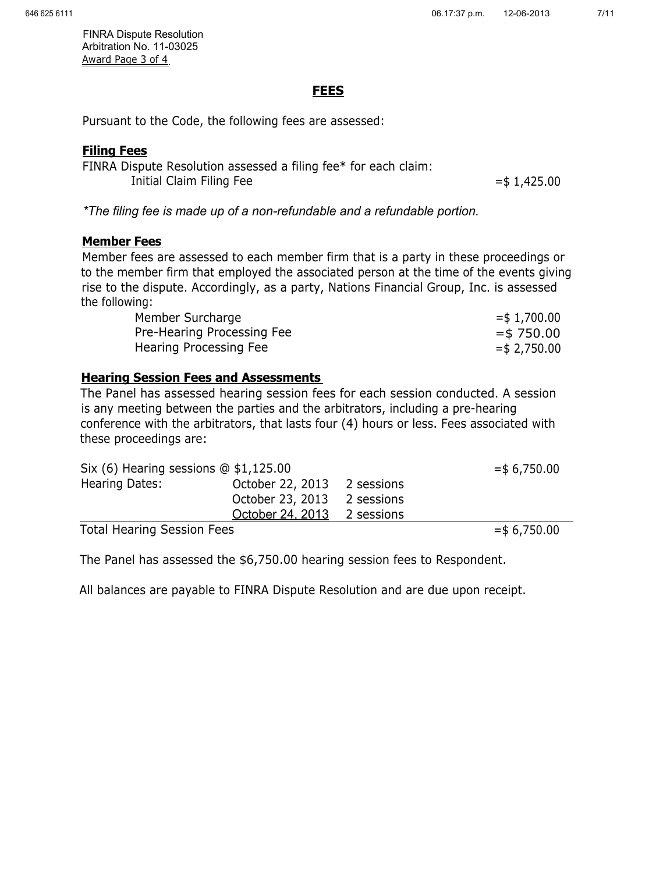FINRA Dispute Resolution Arbitration No. 11-03025 Award Page 3 of 4

## **FEES**

Pursuant to the Code, the following fees are assessed:

## **Filing Fees**

FINRA Dispute Resolution assessed a filing fee\* for each claim: Initial Claim Filing Fee  $=$  \$1,425.00

*\*The filing fee is made up of a non-refundable and a refundable portion.* 

## **Member Fees**

Member fees are assessed to each member firm that is a party in these proceedings or to the member firm that employed the associated person at the time of the events giving rise to the dispute. Accordingly, as a party, Nations Financial Group, Inc. is assessed the following:

| Member Surcharge           | $=$ \$1,700.00  |
|----------------------------|-----------------|
| Pre-Hearing Processing Fee | $=$ \$750.00    |
| Hearing Processing Fee     | $=$ \$ 2,750.00 |

# **Hearing Session Fees and Assessments**

The Panel has assessed hearing session fees for each session conducted. A session is any meeting between the parties and the arbitrators, including a pre-hearing conference with the arbitrators, that lasts four (4) hours or less. Fees associated with these proceedings are:

| Six (6) Hearing sessions $@$ \$1,125.00 |                  |            | $=$ \$ 6,750.00 |
|-----------------------------------------|------------------|------------|-----------------|
| Hearing Dates:                          | October 22, 2013 | 2 sessions |                 |
|                                         | October 23, 2013 | 2 sessions |                 |
|                                         | October 24, 2013 | 2 sessions |                 |
| <b>Total Hearing Session Fees</b>       |                  |            | $=$ \$ 6,750.00 |

The Panel has assessed the \$6,750.00 hearing session fees to Respondent.

All balances are payable to FINRA Dispute Resolution and are due upon receipt.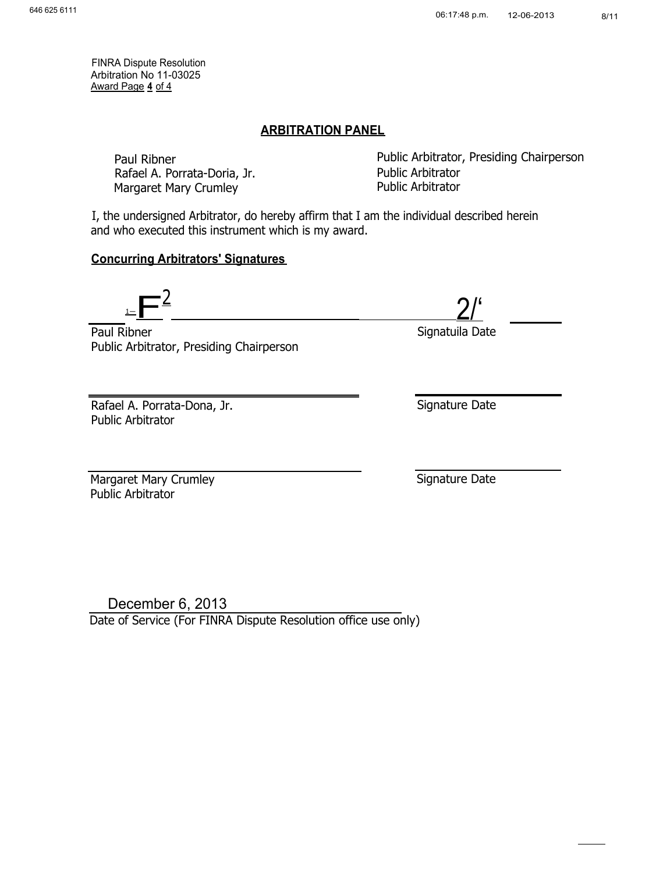FINRA Dispute Resolution Arbitration No 11-03025 Award Page **4** of 4

#### **ARBITRATION PANEL**

Rafael A. Porrata-Doria, Jr. Public Arbitrator Margaret Mary Crumley

Paul Ribner **Public Arbitrator, Presiding Chairperson** 

I, the undersigned Arbitrator, do hereby affirm that I am the individual described herein and who executed this instrument which is my award.

# **Concurring Arbitrators' Signatures**

 $\overline{\mathbf{F}}$  $\frac{2}{2}$ 

Paul Ribner **National Accord Paul Ribner** Signatuila Date Public Arbitrator, Presiding Chairperson

Rafael A. Porrata-Dona, Jr. Public Arbitrator

Margaret Mary Crumley **Signature Date** Public Arbitrator

Signature Date

December 6, 2013 Date of Service (For FINRA Dispute Resolution office use only)